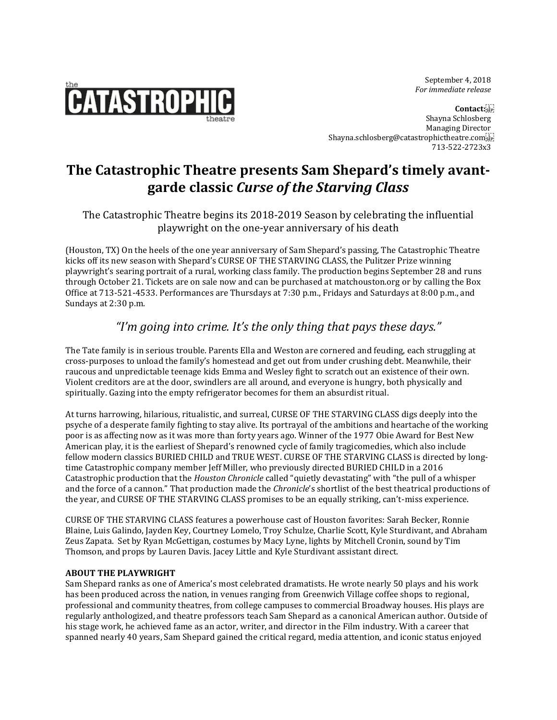September 4, 2018  *For immediate release*



**Contact:** Shayna Schlosberg Managing Director Shayna.schlosberg@catastrophictheatre.com 713-522-2723x3

# **The Catastrophic Theatre presents Sam Shepard's timely avantgarde classic** *Curse of the Starving Class*

### The Catastrophic Theatre begins its 2018-2019 Season by celebrating the influential playwright on the one-year anniversary of his death

(Houston, TX) On the heels of the one year anniversary of Sam Shepard's passing, The Catastrophic Theatre kicks off its new season with Shepard's CURSE OF THE STARVING CLASS, the Pulitzer Prize winning playwright's searing portrait of a rural, working class family. The production begins September 28 and runs through October 21. Tickets are on sale now and can be purchased at matchouston.org or by calling the Box Office at 713-521-4533. Performances are Thursdays at 7:30 p.m., Fridays and Saturdays at 8:00 p.m., and Sundays at 2:30 p.m.

## *"I'm going into crime. It's the only thing that pays these days."*

The Tate family is in serious trouble. Parents Ella and Weston are cornered and feuding, each struggling at cross-purposes to unload the family's homestead and get out from under crushing debt. Meanwhile, their raucous and unpredictable teenage kids Emma and Wesley fight to scratch out an existence of their own. Violent creditors are at the door, swindlers are all around, and everyone is hungry, both physically and spiritually. Gazing into the empty refrigerator becomes for them an absurdist ritual.

At turns harrowing, hilarious, ritualistic, and surreal, CURSE OF THE STARVING CLASS digs deeply into the psyche of a desperate family fighting to stay alive. Its portrayal of the ambitions and heartache of the working poor is as affecting now as it was more than forty years ago. Winner of the 1977 Obie Award for Best New American play, it is the earliest of Shepard's renowned cycle of family tragicomedies, which also include fellow modern classics BURIED CHILD and TRUE WEST. CURSE OF THE STARVING CLASS is directed by longtime Catastrophic company member Jeff Miller, who previously directed BURIED CHILD in a 2016 Catastrophic production that the *Houston Chronicle* called "quietly devastating" with "the pull of a whisper and the force of a cannon." That production made the *Chronicle*'s shortlist of the best theatrical productions of the year, and CURSE OF THE STARVING CLASS promises to be an equally striking, can't-miss experience.

CURSE OF THE STARVING CLASS features a powerhouse cast of Houston favorites: Sarah Becker, Ronnie Blaine, Luis Galindo, Jayden Key, Courtney Lomelo, Troy Schulze, Charlie Scott, Kyle Sturdivant, and Abraham Zeus Zapata. Set by Ryan McGettigan, costumes by Macy Lyne, lights by Mitchell Cronin, sound by Tim Thomson, and props by Lauren Davis. Jacey Little and Kyle Sturdivant assistant direct.

#### **ABOUT THE PLAYWRIGHT**

Sam Shepard ranks as one of America's most celebrated dramatists. He wrote nearly 50 plays and his work has been produced across the nation, in venues ranging from Greenwich Village coffee shops to regional, professional and community theatres, from college campuses to commercial Broadway houses. His plays are regularly anthologized, and theatre professors teach Sam Shepard as a canonical American author. Outside of his stage work, he achieved fame as an actor, writer, and director in the Film industry. With a career that spanned nearly 40 years, Sam Shepard gained the critical regard, media attention, and iconic status enjoyed